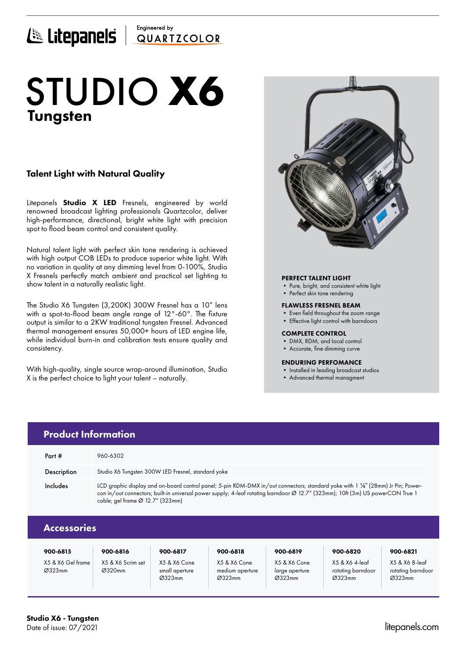## Engineered by E Litepanels QUARTICOLOR

# Tungsten STUDIO **X6**

## Talent Light with Natural Quality

Litepanels **Studio X LED** Fresnels, engineered by world renowned broadcast lighting professionals Quartzcolor, deliver high-performance, directional, bright white light with precision spot to flood beam control and consistent quality.

Natural talent light with perfect skin tone rendering is achieved with high output COB LEDs to produce superior white light. With no variation in quality at any dimming level from 0-100%, Studio X Fresnels perfectly match ambient and practical set lighting to show talent in a naturally realistic light.

The Studio X6 Tungsten (3,200K) 300W Fresnel has a 10" lens with a spot-to-flood beam angle range of 12°-60°. The fixture output is similar to a 2KW traditional tungsten Fresnel. Advanced thermal management ensures 50,000+ hours of LED engine life, while individual burn-in and calibration tests ensure quality and consistency.

With high-quality, single source wrap-around illumination, Studio X is the perfect choice to light your talent – naturally.



## PERFECT TALENT LIGHT

- Pure, bright, and consistent white light
- Perfect skin tone rendering

#### FLAWLESS FRESNEL BEAM

- Even field throughout the zoom range
- Effective light control with barndoors

#### COMPLETE CONTROL

- DMX, RDM, and local control
- Accurate, fine dimming curve

#### ENDURING PERFOMANCE

- Installed in leading broadcast studios
- Advanced thermal managment

|        | <b>Product Information</b> |                                                                                                                                                                                                                                                                                                        |  |  |
|--------|----------------------------|--------------------------------------------------------------------------------------------------------------------------------------------------------------------------------------------------------------------------------------------------------------------------------------------------------|--|--|
| Part # |                            | 960-6302                                                                                                                                                                                                                                                                                               |  |  |
|        | Description                | Studio X6 Tungsten 300W LED Fresnel, standard yoke                                                                                                                                                                                                                                                     |  |  |
|        | Includes                   | LCD graphic display and on-board control panel; 5-pin RDM-DMX in/out connectors; standard yoke with 1 1/8" (28mm) Jr Pin; Power-<br>con in/out connectors; built-in universal power supply; 4-leaf rotating barndoor Ø 12.7" (323mm); 10ft (3m) US powerCON True 1<br>cable; gel frame Ø 12.7" (323mm) |  |  |
|        | <b>Accessories</b>         |                                                                                                                                                                                                                                                                                                        |  |  |
|        |                            |                                                                                                                                                                                                                                                                                                        |  |  |

| 900-6815                    | 900-6816                    | 900-6817                                 | 900-6818                                  | 900-6819                                 | 900-6820                                      | 900-6821                                      |
|-----------------------------|-----------------------------|------------------------------------------|-------------------------------------------|------------------------------------------|-----------------------------------------------|-----------------------------------------------|
| X5 & X6 Gel frame<br>Ø323mm | X5 & X6 Scrim set<br>Ø320mm | X5 & X6 Cone<br>small aperture<br>Ø323mm | X5 & X6 Cone<br>medium aperture<br>Ø323mm | X5 & X6 Cone<br>large aperture<br>Ø323mm | X5 & X6 4-leaf<br>rotating barndoor<br>Ø323mm | X5 & X6 8-leaf<br>rotating barndoor<br>Ø323mm |